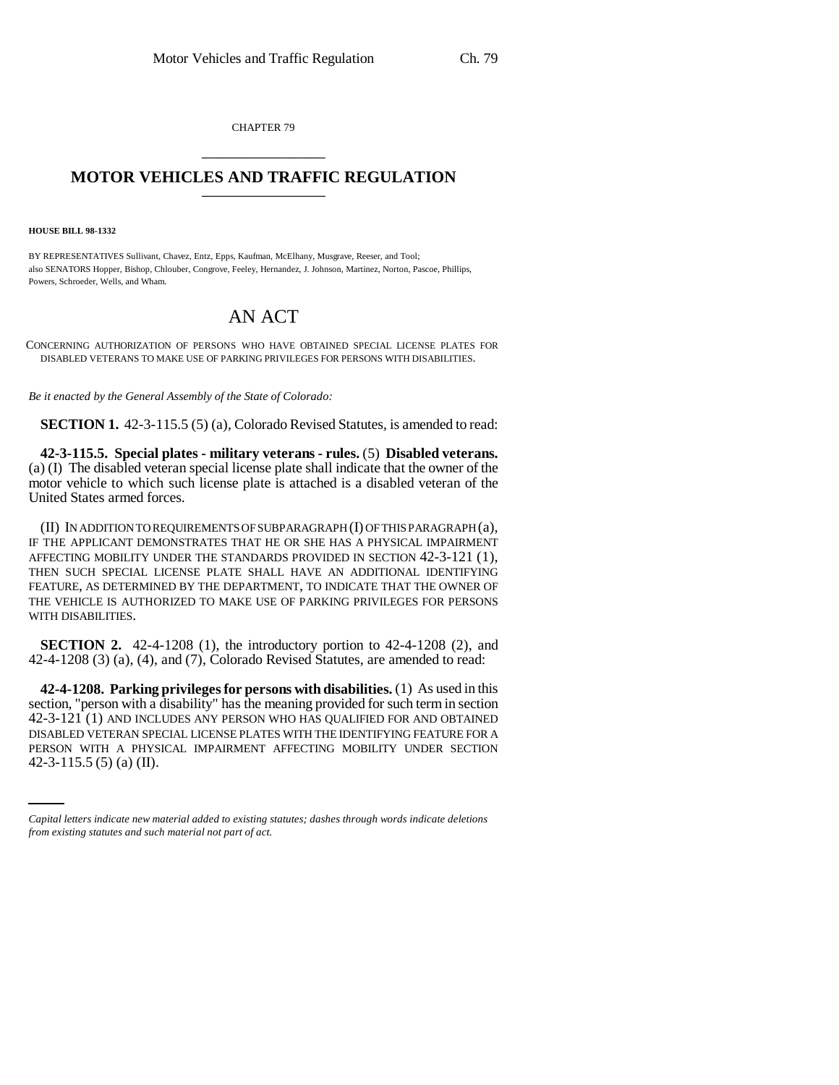CHAPTER 79 \_\_\_\_\_\_\_\_\_\_\_\_\_\_\_

## **MOTOR VEHICLES AND TRAFFIC REGULATION** \_\_\_\_\_\_\_\_\_\_\_\_\_\_\_

**HOUSE BILL 98-1332**

BY REPRESENTATIVES Sullivant, Chavez, Entz, Epps, Kaufman, McElhany, Musgrave, Reeser, and Tool; also SENATORS Hopper, Bishop, Chlouber, Congrove, Feeley, Hernandez, J. Johnson, Martinez, Norton, Pascoe, Phillips, Powers, Schroeder, Wells, and Wham.

## AN ACT

CONCERNING AUTHORIZATION OF PERSONS WHO HAVE OBTAINED SPECIAL LICENSE PLATES FOR DISABLED VETERANS TO MAKE USE OF PARKING PRIVILEGES FOR PERSONS WITH DISABILITIES.

*Be it enacted by the General Assembly of the State of Colorado:*

**SECTION 1.** 42-3-115.5 (5) (a), Colorado Revised Statutes, is amended to read:

**42-3-115.5. Special plates - military veterans - rules.** (5) **Disabled veterans.** (a) (I) The disabled veteran special license plate shall indicate that the owner of the motor vehicle to which such license plate is attached is a disabled veteran of the United States armed forces.

(II) IN ADDITION TO REQUIREMENTS OF SUBPARAGRAPH (I) OF THIS PARAGRAPH (a), IF THE APPLICANT DEMONSTRATES THAT HE OR SHE HAS A PHYSICAL IMPAIRMENT AFFECTING MOBILITY UNDER THE STANDARDS PROVIDED IN SECTION 42-3-121 (1), THEN SUCH SPECIAL LICENSE PLATE SHALL HAVE AN ADDITIONAL IDENTIFYING FEATURE, AS DETERMINED BY THE DEPARTMENT, TO INDICATE THAT THE OWNER OF THE VEHICLE IS AUTHORIZED TO MAKE USE OF PARKING PRIVILEGES FOR PERSONS WITH DISABILITIES.

**SECTION 2.** 42-4-1208 (1), the introductory portion to 42-4-1208 (2), and 42-4-1208 (3) (a), (4), and (7), Colorado Revised Statutes, are amended to read:

DISABLED VETERAN SPECIAL LICENSE PLATES WITH THE IDENTIFYING FEATURE FOR A **42-4-1208. Parking privileges for persons with disabilities.** (1) As used in this section, "person with a disability" has the meaning provided for such term in section 42-3-121 (1) AND INCLUDES ANY PERSON WHO HAS QUALIFIED FOR AND OBTAINED PERSON WITH A PHYSICAL IMPAIRMENT AFFECTING MOBILITY UNDER SECTION 42-3-115.5 (5) (a) (II).

*Capital letters indicate new material added to existing statutes; dashes through words indicate deletions from existing statutes and such material not part of act.*